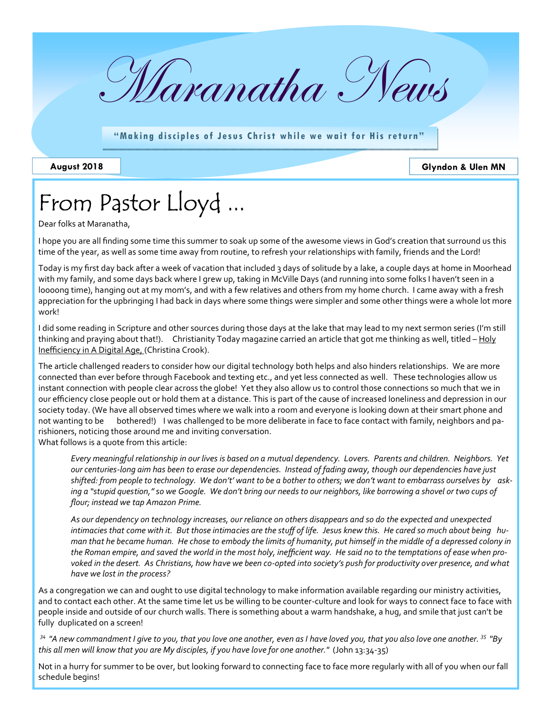

"Making disciples of Jesus Christ while we wait for His return"

**August 2018 Glyndon & Ulen MN**

# From Pastor Lloyd ...

Dear folks at Maranatha,

I hope you are all finding some time this summer to soak up some of the awesome views in God's creation that surround us this time of the year, as well as some time away from routine, to refresh your relationships with family, friends and the Lord!

Today is my first day back after a week of vacation that included 3 days of solitude by a lake, a couple days at home in Moorhead with my family, and some days back where I grew up, taking in McVille Days (and running into some folks I haven't seen in a loooong time), hanging out at my mom's, and with a few relatives and others from my home church. I came away with a fresh appreciation for the upbringing I had back in days where some things were simpler and some other things were a whole lot more work!

I did some reading in Scripture and other sources during those days at the lake that may lead to my next sermon series (I'm still thinking and praying about that!). Christianity Today magazine carried an article that got me thinking as well, titled – Holy Inefficiency in A Digital Age, (Christina Crook).

The article challenged readers to consider how our digital technology both helps and also hinders relationships. We are more connected than ever before through Facebook and texting etc., and yet less connected as well. These technologies allow us instant connection with people clear across the globe! Yet they also allow us to control those connections so much that we in our efficiency close people out or hold them at a distance. This is part of the cause of increased loneliness and depression in our society today. (We have all observed times where we walk into a room and everyone is looking down at their smart phone and not wanting to be bothered!) I was challenged to be more deliberate in face to face contact with family, neighbors and parishioners, noticing those around me and inviting conversation.

What follows is a quote from this article:

*Every meaningful relationship in our lives is based on a mutual dependency. Lovers. Parents and children. Neighbors. Yet our centuries-long aim has been to erase our dependencies. Instead of fading away, though our dependencies have just shifted: from people to technology. We don't' want to be a bother to others; we don't want to embarrass ourselves by asking a "stupid question," so we Google. We don't bring our needs to our neighbors, like borrowing a shovel or two cups of flour; instead we tap Amazon Prime.* 

*As our dependency on technology increases, our reliance on others disappears and so do the expected and unexpected*  intimacies that come with it. But those intimacies are the stuff of life. Jesus knew this. He cared so much about being hu*man that he became human. He chose to embody the limits of humanity, put himself in the middle of a depressed colony in the Roman empire, and saved the world in the most holy, inefficient way. He said no to the temptations of ease when provoked in the desert. As Christians, how have we been co-opted into society's push for productivity over presence, and what have we lost in the process?* 

As a congregation we can and ought to use digital technology to make information available regarding our ministry activities, and to contact each other. At the same time let us be willing to be counter-culture and look for ways to connect face to face with people inside and outside of our church walls. There is something about a warm handshake, a hug, and smile that just can't be fully duplicated on a screen!

*34 "A new commandment I give to you, that you love one another, even as I have loved you, that you also love one another. 35 "By this all men will know that you are My disciples, if you have love for one another."* (John 13:34-35)

Not in a hurry for summer to be over, but looking forward to connecting face to face more regularly with all of you when our fall schedule begins!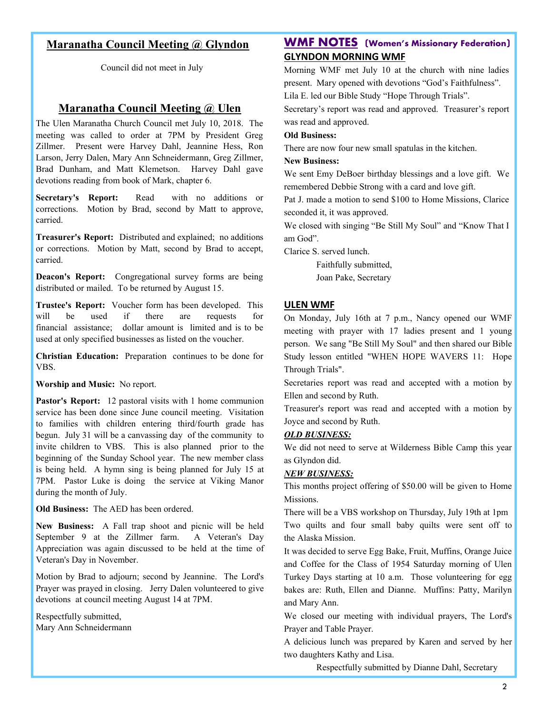## **Maranatha Council Meeting @ Glyndon**

Council did not meet in July

## **Maranatha Council Meeting @ Ulen**

The Ulen Maranatha Church Council met July 10, 2018. The meeting was called to order at 7PM by President Greg Zillmer. Present were Harvey Dahl, Jeannine Hess, Ron Larson, Jerry Dalen, Mary Ann Schneidermann, Greg Zillmer, Brad Dunham, and Matt Klemetson. Harvey Dahl gave devotions reading from book of Mark, chapter 6.

**Secretary's Report:** Read with no additions or corrections. Motion by Brad, second by Matt to approve, carried.

**Treasurer's Report:** Distributed and explained; no additions or corrections. Motion by Matt, second by Brad to accept, carried.

**Deacon's Report:** Congregational survey forms are being distributed or mailed. To be returned by August 15.

**Trustee's Report:** Voucher form has been developed. This will be used if there are requests for financial assistance; dollar amount is limited and is to be used at only specified businesses as listed on the voucher.

**Christian Education:** Preparation continues to be done for VBS.

**Worship and Music:** No report.

Pastor's Report: 12 pastoral visits with 1 home communion service has been done since June council meeting. Visitation to families with children entering third/fourth grade has begun. July 31 will be a canvassing day of the community to invite children to VBS. This is also planned prior to the beginning of the Sunday School year. The new member class is being held. A hymn sing is being planned for July 15 at 7PM. Pastor Luke is doing the service at Viking Manor during the month of July.

**Old Business:** The AED has been ordered.

**New Business:** A Fall trap shoot and picnic will be held September 9 at the Zillmer farm. A Veteran's Day Appreciation was again discussed to be held at the time of Veteran's Day in November.

Motion by Brad to adjourn; second by Jeannine. The Lord's Prayer was prayed in closing. Jerry Dalen volunteered to give devotions at council meeting August 14 at 7PM.

Respectfully submitted, Mary Ann Schneidermann

## **WMF NOTES (Women's Missionary Federation) GLYNDON MORNING WMF**

Morning WMF met July 10 at the church with nine ladies present. Mary opened with devotions "God's Faithfulness". Lila E. led our Bible Study "Hope Through Trials".

Secretary's report was read and approved. Treasurer's report was read and approved.

#### **Old Business:**

There are now four new small spatulas in the kitchen.

#### **New Business:**

We sent Emy DeBoer birthday blessings and a love gift. We remembered Debbie Strong with a card and love gift.

Pat J. made a motion to send \$100 to Home Missions, Clarice seconded it, it was approved.

We closed with singing "Be Still My Soul" and "Know That I am God".

Clarice S. served lunch.

Faithfully submitted, Joan Pake, Secretary

#### **ULEN WMF**

On Monday, July 16th at 7 p.m., Nancy opened our WMF meeting with prayer with 17 ladies present and 1 young person. We sang "Be Still My Soul" and then shared our Bible Study lesson entitled "WHEN HOPE WAVERS 11: Hope Through Trials".

Secretaries report was read and accepted with a motion by Ellen and second by Ruth.

Treasurer's report was read and accepted with a motion by Joyce and second by Ruth.

#### *OLD BUSINESS:*

We did not need to serve at Wilderness Bible Camp this year as Glyndon did.

#### *NEW BUSINESS:*

This months project offering of \$50.00 will be given to Home Missions.

There will be a VBS workshop on Thursday, July 19th at 1pm Two quilts and four small baby quilts were sent off to the Alaska Mission.

It was decided to serve Egg Bake, Fruit, Muffins, Orange Juice and Coffee for the Class of 1954 Saturday morning of Ulen Turkey Days starting at 10 a.m. Those volunteering for egg bakes are: Ruth, Ellen and Dianne. Muffins: Patty, Marilyn and Mary Ann.

We closed our meeting with individual prayers, The Lord's Prayer and Table Prayer.

A delicious lunch was prepared by Karen and served by her two daughters Kathy and Lisa.

Respectfully submitted by Dianne Dahl, Secretary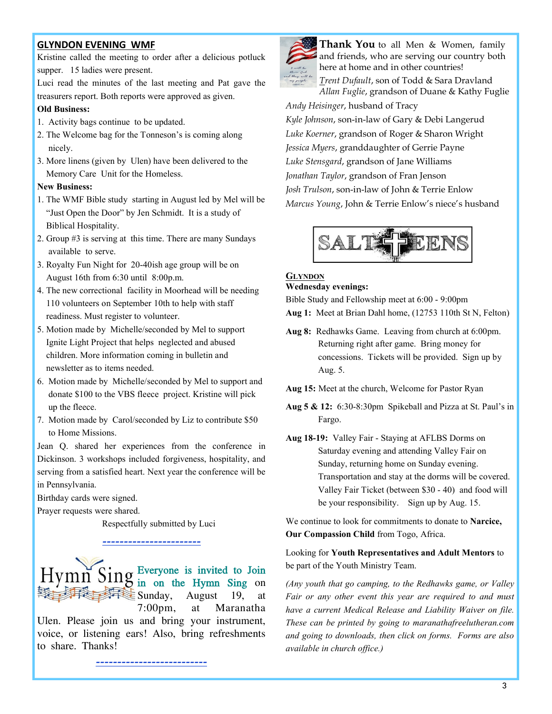### **GLYNDON EVENING WMF**

Kristine called the meeting to order after a delicious potluck supper. 15 ladies were present.

Luci read the minutes of the last meeting and Pat gave the treasurers report. Both reports were approved as given.

#### **Old Business:**

- 1. Activity bags continue to be updated.
- 2. The Welcome bag for the Tonneson's is coming along nicely.
- 3. More linens (given by Ulen) have been delivered to the Memory Care Unit for the Homeless.

#### **New Business:**

- 1. The WMF Bible study starting in August led by Mel will be "Just Open the Door" by Jen Schmidt. It is a study of Biblical Hospitality.
- 2. Group #3 is serving at this time. There are many Sundays available to serve.
- 3. Royalty Fun Night for 20-40ish age group will be on August 16th from 6:30 until 8:00p.m.
- 4. The new correctional facility in Moorhead will be needing 110 volunteers on September 10th to help with staff readiness. Must register to volunteer.
- 5. Motion made by Michelle/seconded by Mel to support Ignite Light Project that helps neglected and abused children. More information coming in bulletin and newsletter as to items needed.
- 6. Motion made by Michelle/seconded by Mel to support and donate \$100 to the VBS fleece project. Kristine will pick up the fleece.
- 7. Motion made by Carol/seconded by Liz to contribute \$50 to Home Missions.

Jean Q. shared her experiences from the conference in Dickinson. 3 workshops included forgiveness, hospitality, and serving from a satisfied heart. Next year the conference will be in Pennsylvania.

Birthday cards were signed.

Prayer requests were shared.

Respectfully submitted by Luci

## *-----------------------*



Ulen. Please join us and bring your instrument, voice, or listening ears! Also, bring refreshments to share. Thanks!

*--------------------------*



**Thank You** to all Men & Women, family and friends, who are serving our country both here at home and in other countries! *Trent Dufault*, son of Todd & Sara Dravland *Allan Fuglie*, grandson of Duane & Kathy Fuglie *Andy Heisinger*, husband of Tracy *Kyle Johnson*, son-in-law of Gary & Debi Langerud *Luke Koerner*, grandson of Roger & Sharon Wright *Jessica Myers*, granddaughter of Gerrie Payne

*Luke Stensgard*, grandson of Jane Williams *Jonathan Taylor*, grandson of Fran Jenson *Josh Trulson*, son-in-law of John & Terrie Enlow *Marcus Young*, John & Terrie Enlow's niece's husband



#### **GLYNDON Wednesday evenings:**

Bible Study and Fellowship meet at 6:00 - 9:00pm

- **Aug 1:** Meet at Brian Dahl home, (12753 110th St N, Felton)
- **Aug 8:** Redhawks Game. Leaving from church at 6:00pm. Returning right after game. Bring money for concessions. Tickets will be provided. Sign up by Aug. 5.
- **Aug 15:** Meet at the church, Welcome for Pastor Ryan
- **Aug 5 & 12:** 6:30-8:30pm Spikeball and Pizza at St. Paul's in Fargo.
- **Aug 18-19:** Valley Fair Staying at AFLBS Dorms on Saturday evening and attending Valley Fair on Sunday, returning home on Sunday evening. Transportation and stay at the dorms will be covered. Valley Fair Ticket (between \$30 - 40) and food will be your responsibility. Sign up by Aug. 15.

We continue to look for commitments to donate to **Narcice, Our Compassion Child** from Togo, Africa.

Looking for **Youth Representatives and Adult Mentors** to be part of the Youth Ministry Team.

*(Any youth that go camping, to the Redhawks game, or Valley Fair or any other event this year are required to and must have a current Medical Release and Liability Waiver on file. These can be printed by going to maranathafreelutheran.com and going to downloads, then click on forms. Forms are also available in church office.)*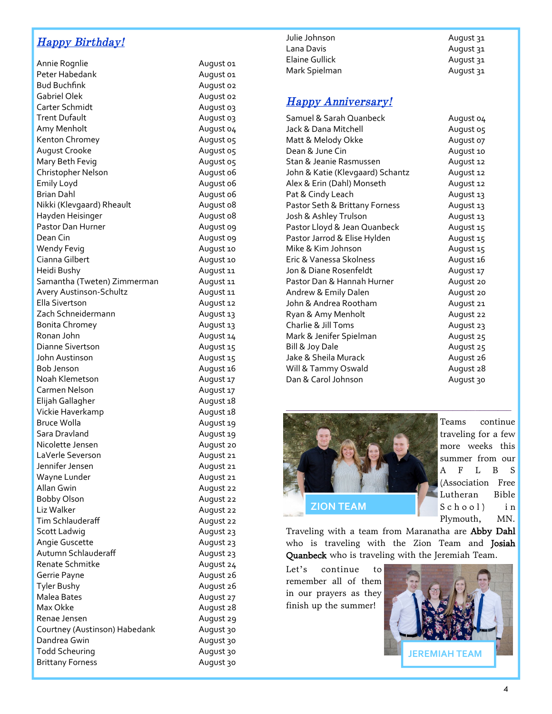## *Happy Birthday!*

| Annie Rognlie                 |
|-------------------------------|
| Peter Habedank                |
| <b>Bud Buchfink</b>           |
| <b>Gabriel Olek</b>           |
| Carter Schmidt                |
| <b>Trent Dufault</b>          |
| Amy Menholt                   |
| Kenton Chromey                |
| August Crooke                 |
| Mary Beth Fevig               |
| Christopher Nelson            |
| <b>Emily Loyd</b>             |
| <b>Brian Dahl</b>             |
| Nikki (Klevgaard) Rheault     |
| Hayden Heisinger              |
| Pastor Dan Hurner             |
| Dean Cin                      |
| <b>Wendy Fevig</b>            |
| Cianna Gilbert                |
| Heidi Bushy                   |
| Samantha (Tweten) Zimmerman   |
| Avery Austinson-Schultz       |
| <b>Ella Sivertson</b>         |
| Zach Schneidermann            |
| <b>Bonita Chromey</b>         |
| Ronan John                    |
| Dianne Sivertson              |
| John Austinson                |
| Bob Jenson                    |
| Noah Klemetson                |
| Carmen Nelson                 |
| Elijah Gallagher              |
| Vickie Haverkamp              |
| <b>Bruce Wolla</b>            |
| Sara Dravland                 |
| Nicolette Jensen              |
| LaVerle Severson              |
| Jennifer Jensen               |
| Wayne Lunder                  |
| Allan Gwin                    |
| Bobby Olson                   |
| Liz Walker                    |
| <b>Tim Schlauderaff</b>       |
| Scott Ladwig                  |
| Angie Guscette                |
| Autumn Schlauderaff           |
| Renate Schmitke               |
| Gerrie Payne                  |
| <b>Tyler Bushy</b>            |
| Malea Bates                   |
| Max Okke                      |
| Renae Jensen                  |
| Courtney (Austinson) Habedank |
| Dandrea Gwin                  |
| <b>Todd Scheuring</b>         |
| <b>Brittany Forness</b>       |

| Julie Johnson  | August 31 |
|----------------|-----------|
| Lana Davis     | August 31 |
| Elaine Gullick | August 31 |
| Mark Spielman  | August 31 |
|                |           |

## *Happy Anniversary!*

August 01 August 01 August 02 August 02 August 03 August 03 August 04 August 05 August 05 August 05 August 06 August 06 August 06 August 08 August 08 August 09 August 09 August 10 August 10 August 11 August 11 August 11 August 12 August 13 August 13 August 14 August 15 August 15 August 16 August 17 August 17 August 18 August 18 August 19 August 19 August 20 August 21 August 21 August 21 August 22 August 22 August 22 August 22 August 23 August 23 August 23 August 24 August 26 August 26 August 27 August 28 August 29 August 30 August 30 August 30 August 30

| Samuel & Sarah Quanbeck          | August 04 |
|----------------------------------|-----------|
| Jack & Dana Mitchell             | August 05 |
| Matt & Melody Okke               | August 07 |
| Dean & June Cin                  | August 10 |
| Stan & Jeanie Rasmussen          | August 12 |
| John & Katie (Klevgaard) Schantz | August 12 |
| Alex & Erin (Dahl) Monseth       | August 12 |
| Pat & Cindy Leach                | August 13 |
| Pastor Seth & Brittany Forness   | August 13 |
| Josh & Ashley Trulson            | August 13 |
| Pastor Lloyd & Jean Quanbeck     | August 15 |
| Pastor Jarrod & Elise Hylden     | August 15 |
| Mike & Kim Johnson               | August 15 |
| Eric & Vanessa Skolness          | August 16 |
| Jon & Diane Rosenfeldt           | August 17 |
| Pastor Dan & Hannah Hurner       | August 20 |
| Andrew & Emily Dalen             | August 20 |
| John & Andrea Rootham            | August 21 |
| Ryan & Amy Menholt               | August 22 |
| Charlie & Jill Toms              | August 23 |
| Mark & Jenifer Spielman          | August 25 |
| Bill & Joy Dale                  | August 25 |
| Jake & Sheila Murack             | August 26 |
| Will & Tammy Oswald              | August 28 |
| Dan & Carol Johnson              | August 30 |



Teams continue traveling for a few more weeks this summer from our A F L B S (Association Free Lutheran Bible  $School$  in Plymouth, MN.

Traveling with a team from Maranatha are Abby Dahl who is traveling with the Zion Team and Josiah Quanbeck who is traveling with the Jeremiah Team.

Let's continue to remember all of them in our prayers as they finish up the summer!

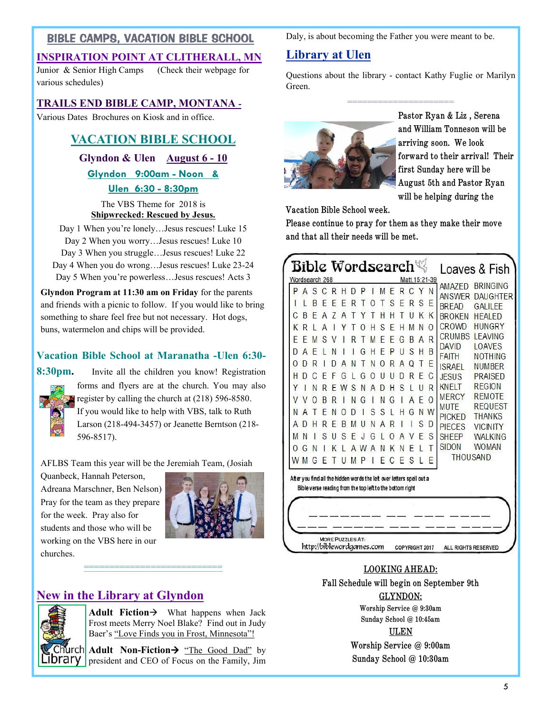## BIBLE CAMPS, VACATION BIBLE SCHOOL

## **INSPIRATION POINT AT CLITHERALL, MN**

Junior & Senior High Camps (Check their webpage for various schedules)

## **TRAILS END BIBLE CAMP, MONTANA -**

Various Dates Brochures on Kiosk and in office.

## **VACATION BIBLE SCHOOL**

## **Glyndon & Ulen August 6 - 10**

**Glyndon 9:00am - Noon & Ulen 6:30 - 8:30pm**

The VBS Theme for 2018 is **Shipwrecked: Rescued by Jesus.**

Day 1 When you're lonely...Jesus rescues! Luke 15 Day 2 When you worry...Jesus rescues! Luke 10 Day 3 When you struggle…Jesus rescues! Luke 22 Day 4 When you do wrong…Jesus rescues! Luke 23-24 Day 5 When you're powerless…Jesus rescues! Acts 3

**Glyndon Program at 11:30 am on Friday** for the parents and friends with a picnic to follow. If you would like to bring something to share feel free but not necessary. Hot dogs, buns, watermelon and chips will be provided.

## **Vacation Bible School at Maranatha -Ulen 6:30-**

**8:30pm.** Invite all the children you know! Registration forms and flyers are at the church. You may also register by calling the church at (218) 596-8580. If you would like to help with VBS, talk to Ruth Larson (218-494-3457) or Jeanette Berntson (218- 596-8517).

AFLBS Team this year will be the Jeremiah Team, (Josiah

**===========================**

Quanbeck, Hannah Peterson, Adreana Marschner, Ben Nelson) Pray for the team as they prepare for the week. Pray also for students and those who will be working on the VBS here in our churches.



## **New in the Library at Glyndon**



**Adult Fiction**  $\rightarrow$  What happens when Jack Frost meets Merry Noel Blake? Find out in Judy Baer's "Love Finds you in Frost, Minnesota"!

**Adult Non-Fiction >** "The Good Dad" by **IDrary** president and CEO of Focus on the Family, Jim Daly, is about becoming the Father you were meant to be.

## **Library at Ulen**

Questions about the library - contact Kathy Fuglie or Marilyn Green.

=====================



**Pastor Ryan & Liz , Serena and William Tonneson will be arriving soon. We look forward to their arrival! Their first Sunday here will be August 5th and Pastor Ryan will be helping during the** 

**Vacation Bible School week.** 

**Please continue to pray for them as they make their move and that all their needs will be met.** 

| P | A | S | C | R | н                                                                                                                                  | D | P |   | M | F | R | C        | Y | N        | <b>AMAZED</b><br><b>ANSWER</b> | <b>BRINGING</b><br><b>DAUGHTER</b> |
|---|---|---|---|---|------------------------------------------------------------------------------------------------------------------------------------|---|---|---|---|---|---|----------|---|----------|--------------------------------|------------------------------------|
|   |   | R | F | F | F                                                                                                                                  | R |   |   |   | S | F | R        | S | E        | <b>BRFAD</b>                   | <b>GAILEE</b>                      |
|   | R |   |   |   | А                                                                                                                                  |   |   |   |   |   |   |          | Κ | K        | <b>BROKEN</b>                  | <b>HEALED</b>                      |
| K | R |   |   |   |                                                                                                                                    |   |   |   |   |   |   |          | N | $\Omega$ | <b>CROWD</b>                   | <b>HUNGRY</b>                      |
| F | F | M |   |   |                                                                                                                                    |   |   |   |   |   | G | R        | A | R        | <b>CRUMBS</b>                  | <b>LEAVING</b>                     |
| D | A |   |   |   |                                                                                                                                    |   |   |   |   |   | U | S        | Н | B        | <b>DAVID</b><br><b>FAITH</b>   | <b>LOAVES</b><br><b>NOTHING</b>    |
| 0 | D | R |   |   | А                                                                                                                                  | Ν |   | Ν |   | R | A | $\Omega$ | Т | E        | <b>ISRAFI</b>                  | <b>NUMBER</b>                      |
| H | D |   |   |   | G                                                                                                                                  |   | G |   |   |   |   | R        | F | С        | <b>JFSUS</b>                   | <b>PRAISED</b>                     |
| Υ |   | N | R | F | W                                                                                                                                  | S | N | A | D | н | S |          | U | R        | <b>KNFIT</b>                   | <b>REGION</b>                      |
|   |   |   | R |   |                                                                                                                                    | N | G |   | N | G |   | А        | F | $\Omega$ | <b>MERCY</b>                   | <b>REMOTE</b><br><b>REQUEST</b>    |
| N | A |   |   | N |                                                                                                                                    | D |   | S | S |   | Н | G        | N | W        | <b>MUTF</b><br><b>PICKED</b>   | <b>THANKS</b>                      |
| Д |   |   |   |   | B                                                                                                                                  |   |   |   |   |   |   |          | S | D        | <b>PIFCES</b>                  | <b>VICINITY</b>                    |
| М | N |   | S |   | S                                                                                                                                  | F |   |   |   |   |   |          | F | S        | <b>SHEEP</b>                   | <b>WALKING</b>                     |
| O | G |   |   |   |                                                                                                                                    |   |   |   |   |   |   |          |   | Т        | <b>SIDON</b>                   | <b>WOMAN</b>                       |
| W | M |   |   |   | U                                                                                                                                  | M | P |   | F |   | F | S        | L | F        | <b>THOUSAND</b>                |                                    |
|   |   |   |   |   | After you find all the hidden words the left over letters spell out a<br>Bible verse reading from the top left to the bottom right |   |   |   |   |   |   |          |   |          |                                |                                    |

### **LOOKING AHEAD:**

**Fall Schedule will begin on September 9th**

**GLYNDON:**

**Worship Service @ 9:30am Sunday School @ 10:45am ULEN Worship Service @ 9:00am Sunday School @ 10:30am**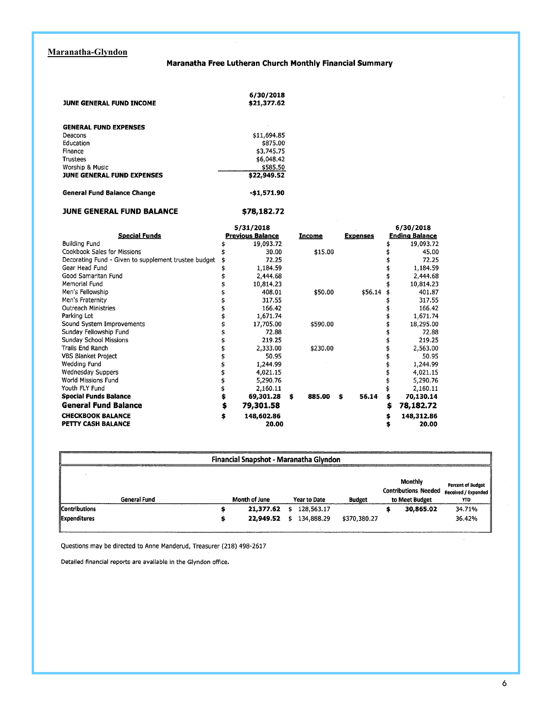### **Maranatha-Glyndon**

#### Maranatha Free Lutheran Church Monthly Financial Summary

| <b>JUNE GENERAL FUND INCOME</b>    | 6/30/2018<br>\$21,377.62 |
|------------------------------------|--------------------------|
| <b>GENERAL FUND EXPENSES</b>       |                          |
| Deacons                            | \$11,694.85              |
| Education                          | \$875.00                 |
| Finance                            | \$3,745,75               |
| Trustees                           | \$6,048.42               |
| Worship & Music                    | \$585.50                 |
| <b>JUNE GENERAL FUND EXPENSES</b>  | \$22,949.52              |
| <b>General Fund Balance Change</b> | -\$1,571.90              |

#### JUNE GENERAL FUND BALANCE \$78,182.72

|                                                      | 5/31/2018               |   |               |                 | 6/30/2018             |
|------------------------------------------------------|-------------------------|---|---------------|-----------------|-----------------------|
| <b>Special Funds</b>                                 | <b>Previous Balance</b> |   | <b>Income</b> | <b>Expenses</b> | <b>Ending Balance</b> |
| <b>Building Fund</b>                                 | 19,093.72               |   |               |                 | 19,093.72             |
| Cookbook Sales for Missions                          | 30.00                   |   | \$15.00       |                 | 45.00                 |
| Decorating Fund - Given to supplement trustee budget | 72.25                   |   |               |                 | 72.25                 |
| Gear Head Fund                                       | 1,184.59                |   |               |                 | 1,184.59              |
| Good Samaritan Fund                                  | 2,444.68                |   |               |                 | 2,444.68              |
| Memorial Fund                                        | 10,814.23               |   |               |                 | 10,814.23             |
| Men's Fellowship                                     | 408.01                  |   | \$50.00       | \$56.14         | 401.87                |
| Men's Fraternity                                     | 317.55                  |   |               |                 | 317.55                |
| <b>Outreach Ministries</b>                           | 166.42                  |   |               |                 | 166.42                |
| Parking Lot                                          | 1,671.74                |   |               |                 | 1,671.74              |
| Sound System Improvements                            | 17,705.00               |   | \$590.00      |                 | 18,295.00             |
| Sunday Fellowship Fund                               | 72.88                   |   |               |                 | 72.88                 |
| Sunday School Missions                               | 219.25                  |   |               |                 | 219.25                |
| Trails End Ranch                                     | 2,333.00                |   | \$230.00      |                 | 2,563.00              |
| <b>VBS Blanket Project</b>                           | 50.95                   |   |               |                 | 50.95                 |
| Wedding Fund                                         | 1,244.99                |   |               |                 | 1,244.99              |
| Wednesday Suppers                                    | 4,021.15                |   |               |                 | 4,021.15              |
| World Missions Fund                                  | 5,290.76                |   |               |                 | 5,290.76              |
| Youth FLY Fund                                       | 2,160.11                |   |               |                 | 2,160.11              |
| <b>Special Funds Balance</b>                         | 69,301.28               | Ś | 885.00        | 56.14<br>\$     | 70,130.14             |
| <b>General Fund Balance</b>                          | \$<br>79,301.58         |   |               |                 | \$<br>78,182.72       |
| <b>CHECKBOOK BALANCE</b>                             | \$<br>148,602.86        |   |               |                 | \$<br>148,312.86      |
| PETTY CASH BALANCE                                   | 20.00                   |   |               |                 | 20.00                 |

| Financial Snapshot - Maranatha Glyndon |   |                        |    |                          |               |  |                                                          |                                                         |  |
|----------------------------------------|---|------------------------|----|--------------------------|---------------|--|----------------------------------------------------------|---------------------------------------------------------|--|
| <b>General Fund</b>                    |   | Month of June          |    | <b>Year to Date</b>      | <b>Budget</b> |  | Monthly<br><b>Contributions Needed</b><br>to Meet Budget | <b>Percent of Budget</b><br>Received / Expended<br>YTD. |  |
| <b>Contributions</b><br>Expenditures   | э | 21,377.62<br>22,949.52 | \$ | 128,563.17<br>134,888.29 | \$370,380,27  |  | 30,865.02                                                | 34.71%<br>36.42%                                        |  |

Questions may be directed to Anne Manderud, Treasurer (218) 498-2617

Detailed financial reports are available in the Glyndon office.

 $\bar{z}$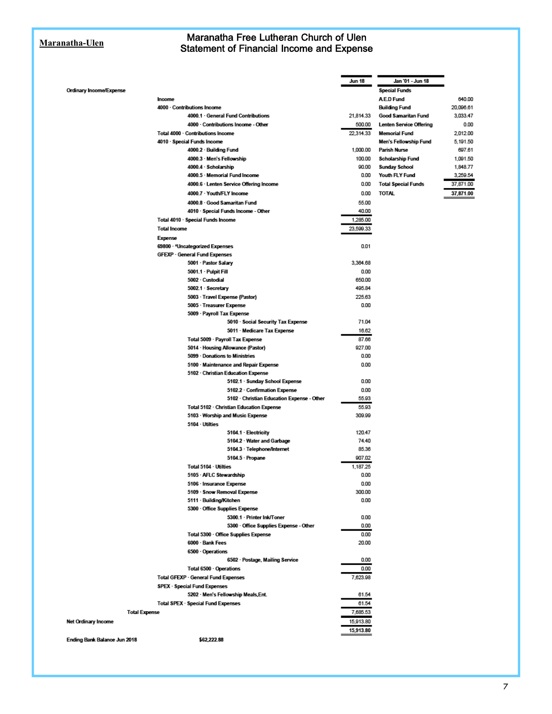#### **Maranatha-Ulen**

#### Maranatha Free Lutheran Church of Ulen Statement of Financial Income and Expense

|                              |                                            | Jun 18    | Jan '01 - Jun 18               |
|------------------------------|--------------------------------------------|-----------|--------------------------------|
| Ordinary Income/Expense      |                                            |           | Special Funds                  |
|                              | Income                                     |           | <b>AED Fund</b>                |
|                              | 4000 - Contributions Income                |           | <b>Building Fund</b>           |
|                              | 4000.1 General Fund Contributions          | 21,814.33 | Good Samaritan Fund            |
|                              | 4000 - Contributions Income - Other        | 500.00    | <b>Lenten Service Offering</b> |
|                              | Total 4000 · Contributions Income          | 22,314.33 | <b>Memorial Fund</b>           |
|                              | 4010 - Special Funds Income                |           | Men's Fellowship Fund          |
|                              | 4000.2 · Building Fund                     | 1,000.00  | Parish Nurse                   |
|                              | 4000.3 Men's Fellowship                    | 100.00    | Scholarship Fund               |
|                              | 4000.4 · Scholarship                       | 90.00     | Sunday School                  |
|                              | 4000.5 · Memorial Fund Income              | 0.00      | Youth FLY Fund                 |
|                              | 4000.6 · Lenten Service Offering Income    | 0.00      | <b>Total Special Funds</b>     |
|                              | 4000.7 · Youth/FLY Income                  | 0.00      | <b>TOTAL</b>                   |
|                              | 4000.8 · Good Samaritan Fund               | 55.00     |                                |
|                              | 4010 - Special Funds Income - Other        | 40.00     |                                |
|                              | Total 4010 - Special Funds Income          | 1,285.00  |                                |
|                              | <b>Total Income</b>                        | 23,599.33 |                                |
|                              | <b>Expense</b>                             |           |                                |
|                              | 69800 - *Uncategorized Expenses            | 0.01      |                                |
|                              | GFEXP - General Fund Expenses              |           |                                |
|                              | 5001 - Pastor Salary                       | 3,364.68  |                                |
|                              | 5001.1 · Pulpit Fill                       | 0.00      |                                |
|                              | 5002 - Custodial                           | 650.00    |                                |
|                              | 5002.1 · Secretary                         | 495.84    |                                |
|                              | 5003 - Travel Expense (Pastor)             | 225.63    |                                |
|                              | 5005 - Treasurer Expense                   | 0.00      |                                |
|                              | 5009 - Payroll Tax Expense                 |           |                                |
|                              | 5010 - Social Security Tax Expense         | 71.04     |                                |
|                              | 5011 · Medicare Tax Expense                | 16.62     |                                |
|                              | Total 5009 - Payroll Tax Expense           | 87.66     |                                |
|                              | 5014 · Housing Allowance (Pastor)          | 927.00    |                                |
|                              | 5099 - Donations to Ministries             | 0.00      |                                |
|                              | 5100 Maintenance and Repair Expense        | 0.00      |                                |
|                              | 5102 - Christian Education Expense         |           |                                |
|                              | 5102.1 · Sunday School Expense             | 0.00      |                                |
|                              | 5102.2 Confirmation Expense                | 0.00      |                                |
|                              | 5102 · Christian Education Expense - Other | 55.93     |                                |
|                              | Total 5102 · Christian Education Expense   | 55.93     |                                |
|                              | 5103 - Worship and Music Expense           | 309.99    |                                |
|                              | 5104 Utilties                              |           |                                |
|                              | 5104.1 Electricity                         | 120.47    |                                |
|                              | 5104.2 · Water and Garbage                 | 74.40     |                                |
|                              | 5104.3 - Telephone/Internet                | 85.36     |                                |
|                              | 5104.5 - Propane                           | 907.02    |                                |
|                              | Total 5104 · Utilties                      | 1,187.25  |                                |
|                              | 5105 - AFLC Stewardship                    | 0.00      |                                |
|                              | 5106 - Insurance Expense                   | 0.00      |                                |
|                              | 5109 - Snow Removal Expense                | 300.00    |                                |
|                              | 5111 - Building/Kitchen                    | 0.00      |                                |
|                              | 5300 - Office Supplies Expense             |           |                                |
|                              | 5300.1 - Printer Ink/Toner                 | 0.00      |                                |
|                              | 5300 · Office Supplies Expense - Other     | 0.00      |                                |
|                              | Total 5300 - Office Supplies Expense       | 0.00      |                                |
|                              | 6000 - Bank Fees                           | 20.00     |                                |
|                              | 6500 - Operations                          |           |                                |
|                              | 6502 - Postage, Mailing Service            | 0.00      |                                |
|                              | Total 6500 Operations                      | 0.00      |                                |
|                              | Total GFEXP - General Fund Expenses        | 7,623.98  |                                |
|                              | <b>SPEX - Special Fund Expenses</b>        |           |                                |
|                              | 5202 · Men's Fellowship Meals, Ent.        | 61.54     |                                |
|                              | Total SPEX - Special Fund Expenses         | 61.54     |                                |
| <b>Total Expense</b>         |                                            | 7,685.53  |                                |
| Net Ordinary Income          |                                            | 15,913.80 |                                |
|                              |                                            | 15,913.80 |                                |
| Ending Bank Balance Jun 2018 | \$62,222.88                                |           |                                |

640.00 20,096.61 3,033.47  $0.00$ 2,012.00 5,191.50 697.61 1,091.50 1,848.77 3,259.54 37,871.00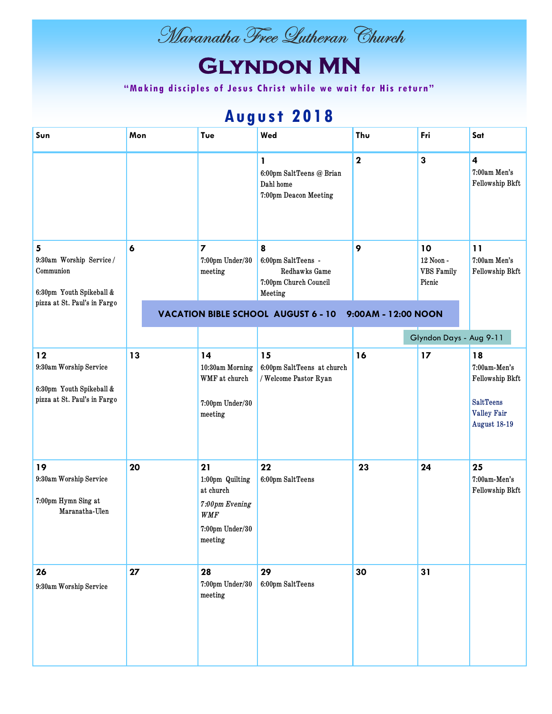

# **Glyndon MN**

"Making disciples of Jesus Christ while we wait for His return"

## **August 2018**

| Sun                                                                                        | Mon              | Tue                                                                                              | Wed                                                                          | Thu                 | Fri                                            | Sat                                                                                             |
|--------------------------------------------------------------------------------------------|------------------|--------------------------------------------------------------------------------------------------|------------------------------------------------------------------------------|---------------------|------------------------------------------------|-------------------------------------------------------------------------------------------------|
|                                                                                            |                  |                                                                                                  | 1<br>6:00pm SaltTeens @ Brian<br>Dahl home<br>7:00pm Deacon Meeting          | $\mathbf 2$         | 3                                              | $\overline{\mathbf{4}}$<br>7:00am Men's<br>Fellowship Bkft                                      |
| 5<br>9:30am Worship Service /<br>Communion<br>6:30pm Youth Spikeball &                     | $\boldsymbol{6}$ | $\overline{\mathbf{z}}$<br>7:00pm Under/30<br>meeting                                            | 8<br>6:00pm SaltTeens -<br>Redhawks Game<br>7:00pm Church Council<br>Meeting | 9                   | 10<br>12 Noon -<br><b>VBS</b> Family<br>Picnic | 11<br>7:00am Men's<br>Fellowship Bkft                                                           |
| pizza at St. Paul's in Fargo                                                               |                  |                                                                                                  | <b>VACATION BIBLE SCHOOL AUGUST 6 - 10</b>                                   | 9:00AM - 12:00 NOON |                                                |                                                                                                 |
|                                                                                            |                  |                                                                                                  |                                                                              |                     | Glyndon Days - Aug 9-11                        |                                                                                                 |
| $12$<br>9:30am Worship Service<br>6:30pm Youth Spikeball &<br>pizza at St. Paul's in Fargo | 13               | 14<br>10:30am Morning<br>WMF at church<br>7:00pm Under/30<br>${\rm meeting}$                     | 15<br>6:00pm SaltTeens at church<br>/ Welcome Pastor Ryan                    | 16                  | 17                                             | 18<br>7:00am-Men's<br>Fellowship Bkft<br><b>SaltTeens</b><br>Valley Fair<br><b>August 18-19</b> |
| 19<br>9:30am Worship Service<br>7:00pm Hymn Sing at<br>Maranatha-Ulen                      | 20               | 21<br>1:00pm Quilting<br>at church<br>7:00pm Evening<br><b>WMF</b><br>7:00pm Under/30<br>meeting | 22<br>6:00pm SaltTeens                                                       | 23                  | 24                                             | 25<br>7:00am-Men's<br>Fellowship Bkft                                                           |
| 26<br>9:30am Worship Service                                                               | 27               | 28<br>7:00pm Under/30<br>meeting                                                                 | 29<br>6:00pm SaltTeens                                                       | 30                  | 31                                             |                                                                                                 |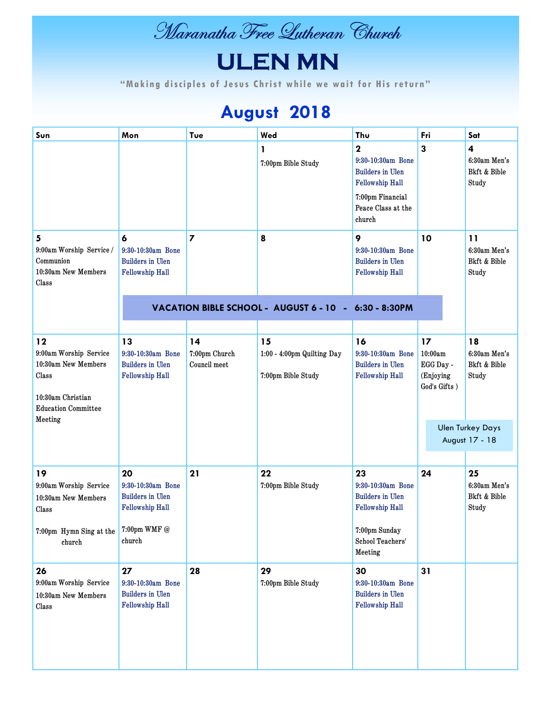

# **ULEN MN**

" Making disciples of Jesus Christ while we wait for His return"

## **August 2018**

| Sun                                                                                                                        | Mon                                                                             | Tue                                 | Wed                                                    | Thu                                                                                                                                | Fri                                                     | Sat                                         |
|----------------------------------------------------------------------------------------------------------------------------|---------------------------------------------------------------------------------|-------------------------------------|--------------------------------------------------------|------------------------------------------------------------------------------------------------------------------------------------|---------------------------------------------------------|---------------------------------------------|
|                                                                                                                            |                                                                                 |                                     | 1<br>7:00pm Bible Study                                | $\mathbf 2$<br>9:30-10:30am Bone<br><b>Builders in Ulen</b><br>Fellowship Hall<br>7:00pm Financial<br>Peace Class at the<br>church | 3                                                       | 4<br>6:30am Men's<br>Bkft & Bible<br>Study  |
| 5<br>9:00am Worship Service /<br>Communion<br>10:30am New Members<br>Class                                                 | 6<br>9:30-10:30am Bone<br><b>Builders</b> in Ulen<br>Fellowship Hall            | $\overline{7}$                      | 8                                                      | 9<br>9:30-10:30am Bone<br><b>Builders</b> in Ulen<br>Fellowship Hall                                                               | 10                                                      | 11<br>6:30am Men's<br>Bkft & Bible<br>Study |
|                                                                                                                            |                                                                                 |                                     | VACATION BIBLE SCHOOL - AUGUST 6 - 10 - 6:30 - 8:30PM  |                                                                                                                                    |                                                         |                                             |
| 12<br>9:00am Worship Service<br>10:30am New Members<br>Class<br>10:30am Christian<br><b>Education Committee</b><br>Meeting | 13<br>9:30-10:30am Bone<br><b>Builders</b> in Ulen<br>Fellowship Hall           | 14<br>7:00pm Church<br>Council meet | 15<br>1:00 - 4:00pm Quilting Day<br>7:00pm Bible Study | 16<br>9:30-10:30am Bone<br><b>Builders</b> in Ulen<br>Fellowship Hall                                                              | 17<br>10:00am<br>EGG Day -<br>(Enjoying<br>God's Gifts) | 18<br>6:30am Men's<br>Bkft & Bible<br>Study |
|                                                                                                                            |                                                                                 |                                     |                                                        |                                                                                                                                    |                                                         | <b>Ulen Turkey Days</b><br>August 17 - 18   |
| 19<br>9:00am Worship Service<br>10:30am New Members<br>Class<br>7:00pm Hymn Sing at the 7:00pm WMF @<br>church             | 20<br>9:30-10:30am Bone<br><b>Builders</b> in Ulen<br>Fellowship Hall<br>church | 21                                  | 22<br>7:00pm Bible Study                               | 23<br>9:30-10:30am Bone<br><b>Builders in Ulen</b><br>Fellowship Hall<br>7:00pm Sunday<br>School Teachers'<br>Meeting              | 24                                                      | 25<br>6:30am Men's<br>Bkft & Bible<br>Study |
| 26<br>9:00am Worship Service<br>10:30am New Members<br>Class                                                               | 27<br>9:30-10:30am Bone<br><b>Builders in Ulen</b><br>Fellowship Hall           | 28                                  | 29<br>7:00pm Bible Study                               | 30<br>9:30-10:30am Bone<br><b>Builders in Ulen</b><br>Fellowship Hall                                                              | 31                                                      |                                             |